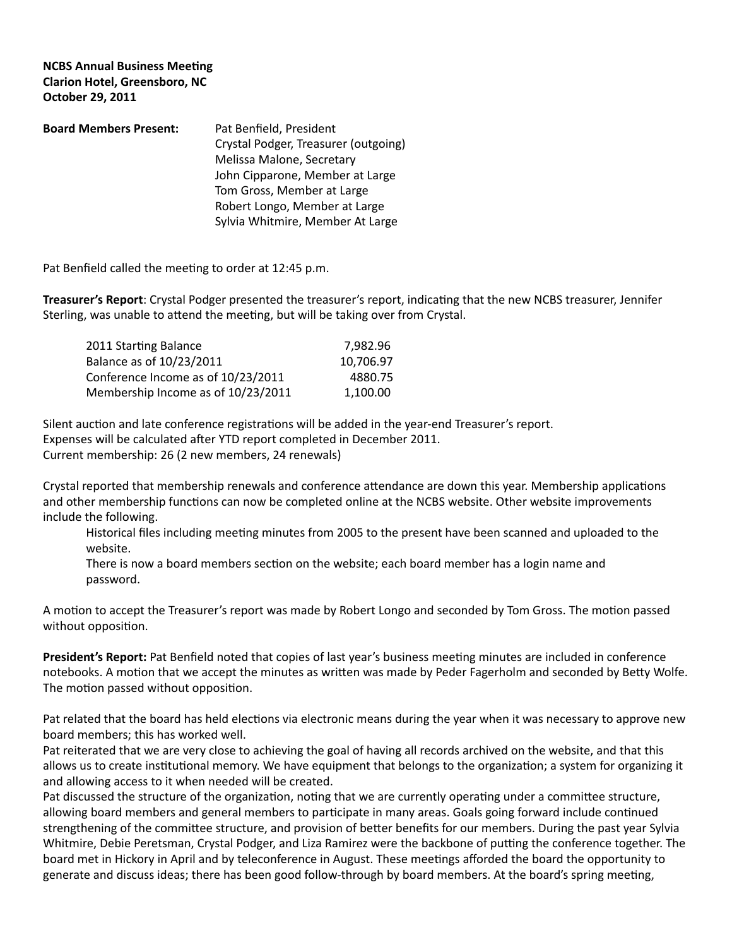## **NCBS Annual Business Meeting Clarion Hotel, Greensboro, NC October 29, 2011**

| <b>Board Members Present:</b> | Pat Benfield, President              |
|-------------------------------|--------------------------------------|
|                               | Crystal Podger, Treasurer (outgoing) |
|                               | Melissa Malone, Secretary            |
|                               | John Cipparone, Member at Large      |
|                               | Tom Gross, Member at Large           |
|                               | Robert Longo, Member at Large        |
|                               | Sylvia Whitmire, Member At Large     |

Pat Benfield called the meeting to order at 12:45 p.m.

**Treasurer's Report**: Crystal Podger presented the treasurer's report, indicating that the new NCBS treasurer, Jennifer Sterling, was unable to attend the meeting, but will be taking over from Crystal.

| 2011 Starting Balance              | 7,982.96  |
|------------------------------------|-----------|
| Balance as of 10/23/2011           | 10,706.97 |
| Conference Income as of 10/23/2011 | 4880.75   |
| Membership Income as of 10/23/2011 | 1.100.00  |

Silent auction and late conference registrations will be added in the year-end Treasurer's report. Expenses will be calculated after YTD report completed in December 2011. Current membership: 26 (2 new members, 24 renewals)

Crystal reported that membership renewals and conference attendance are down this year. Membership applications and other membership functions can now be completed online at the NCBS website. Other website improvements include the following.

Historical files including meeting minutes from 2005 to the present have been scanned and uploaded to the website.

There is now a board members section on the website; each board member has a login name and password.

A motion to accept the Treasurer's report was made by Robert Longo and seconded by Tom Gross. The motion passed without opposition.

**President's Report:** Pat Benfield noted that copies of last year's business meeting minutes are included in conference notebooks. A motion that we accept the minutes as written was made by Peder Fagerholm and seconded by Betty Wolfe. The motion passed without opposition.

Pat related that the board has held elections via electronic means during the year when it was necessary to approve new board members; this has worked well.

Pat reiterated that we are very close to achieving the goal of having all records archived on the website, and that this allows us to create institutional memory. We have equipment that belongs to the organization; a system for organizing it and allowing access to it when needed will be created.

Pat discussed the structure of the organization, noting that we are currently operating under a committee structure, allowing board members and general members to participate in many areas. Goals going forward include continued strengthening of the committee structure, and provision of better benefits for our members. During the past year Sylvia Whitmire, Debie Peretsman, Crystal Podger, and Liza Ramirez were the backbone of putting the conference together. The board met in Hickory in April and by teleconference in August. These meetings afforded the board the opportunity to generate and discuss ideas; there has been good follow-through by board members. At the board's spring meeting,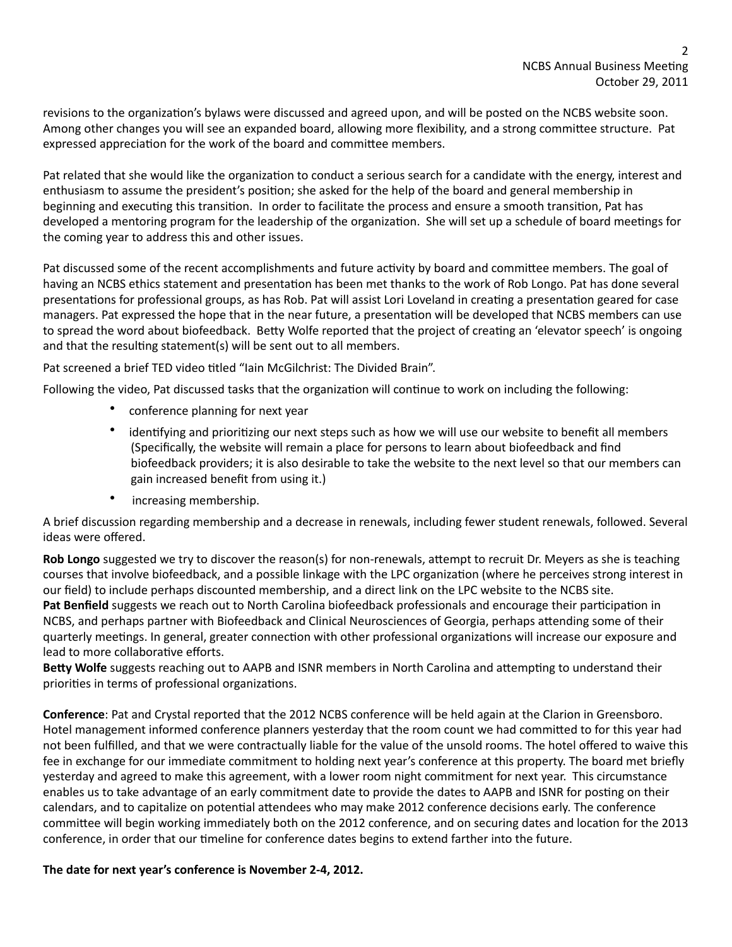revisions to the organization's bylaws were discussed and agreed upon, and will be posted on the NCBS website soon. Among other changes you will see an expanded board, allowing more flexibility, and a strong committee structure. Pat expressed appreciation for the work of the board and committee members.

Pat related that she would like the organization to conduct a serious search for a candidate with the energy, interest and enthusiasm to assume the president's position; she asked for the help of the board and general membership in beginning and executing this transition. In order to facilitate the process and ensure a smooth transition, Pat has developed a mentoring program for the leadership of the organization. She will set up a schedule of board meetings for the coming year to address this and other issues.

Pat discussed some of the recent accomplishments and future activity by board and committee members. The goal of having an NCBS ethics statement and presentation has been met thanks to the work of Rob Longo. Pat has done several presentations for professional groups, as has Rob. Pat will assist Lori Loveland in creating a presentation geared for case managers. Pat expressed the hope that in the near future, a presentation will be developed that NCBS members can use to spread the word about biofeedback. Betty Wolfe reported that the project of creating an 'elevator speech' is ongoing and that the resulting statement(s) will be sent out to all members.

Pat screened a brief TED video titled "Iain McGilchrist: The Divided Brain".

Following the video, Pat discussed tasks that the organization will continue to work on including the following:

- conference planning for next year
- identifying and prioritizing our next steps such as how we will use our website to benefit all members (Specifically, the website will remain a place for persons to learn about biofeedback and find biofeedback providers; it is also desirable to take the website to the next level so that our members can gain increased benefit from using it.)
- increasing membership.

A brief discussion regarding membership and a decrease in renewals, including fewer student renewals, followed. Several ideas were offered.

**Rob Longo** suggested we try to discover the reason(s) for non-renewals, attempt to recruit Dr. Meyers as she is teaching courses that involve biofeedback, and a possible linkage with the LPC organization (where he perceives strong interest in our field) to include perhaps discounted membership, and a direct link on the LPC website to the NCBS site. Pat Benfield suggests we reach out to North Carolina biofeedback professionals and encourage their participation in NCBS, and perhaps partner with Biofeedback and Clinical Neurosciences of Georgia, perhaps attending some of their quarterly meetings. In general, greater connection with other professional organizations will increase our exposure and lead to more collaborative efforts.

**Betty Wolfe** suggests reaching out to AAPB and ISNR members in North Carolina and attempting to understand their priorities in terms of professional organizations.

**Conference**: Pat and Crystal reported that the 2012 NCBS conference will be held again at the Clarion in Greensboro. Hotel management informed conference planners yesterday that the room count we had committed to for this year had not been fulfilled, and that we were contractually liable for the value of the unsold rooms. The hotel offered to waive this fee in exchange for our immediate commitment to holding next year's conference at this property. The board met briefly yesterday and agreed to make this agreement, with a lower room night commitment for next year. This circumstance enables us to take advantage of an early commitment date to provide the dates to AAPB and ISNR for posting on their calendars, and to capitalize on potential attendees who may make 2012 conference decisions early. The conference committee will begin working immediately both on the 2012 conference, and on securing dates and location for the 2013 conference, in order that our timeline for conference dates begins to extend farther into the future.

## The date for next year's conference is November 2-4, 2012.